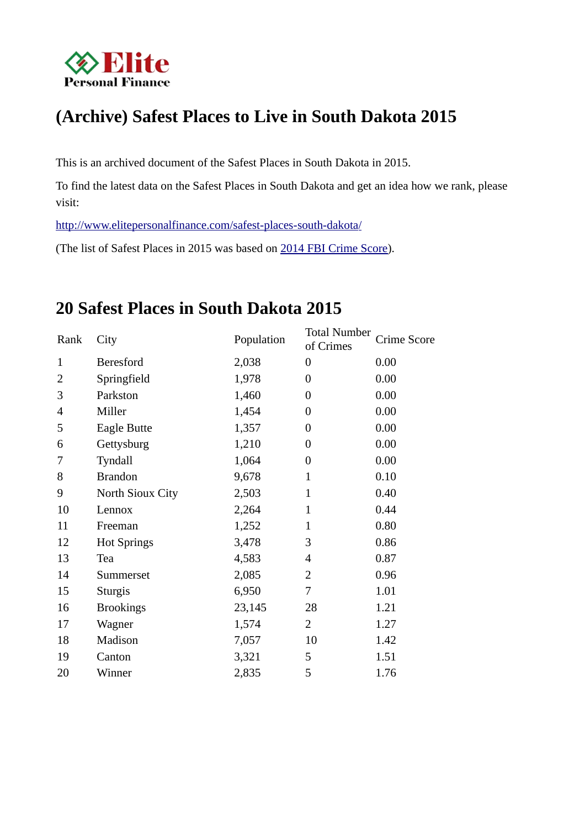

# **(Archive) Safest Places to Live in South Dakota 2015**

This is an archived document of the Safest Places in South Dakota in 2015.

To find the latest data on the Safest Places in South Dakota and get an idea how we rank, please visit:

 [http://www.elitepersonalfinance.com/safest-places- south-dakota/](http://www.elitepersonalfinance.com/safest-places-south-dakota/)

(The list of Safest Places in 2015 was based on 2014 FBI Crime Score).

# **20 Safest Places in South Dakota 2015**

| Rank         | City               | Population | <b>Total Number</b><br>of Crimes | Crime Score |
|--------------|--------------------|------------|----------------------------------|-------------|
| $\mathbf{1}$ | <b>Beresford</b>   | 2,038      | $\overline{0}$                   | 0.00        |
| 2            | Springfield        | 1,978      | 0                                | 0.00        |
| 3            | Parkston           | 1,460      | $\boldsymbol{0}$                 | 0.00        |
| 4            | Miller             | 1,454      | $\overline{0}$                   | 0.00        |
| 5            | Eagle Butte        | 1,357      | $\overline{0}$                   | 0.00        |
| 6            | Gettysburg         | 1,210      | 0                                | 0.00        |
| 7            | Tyndall            | 1,064      | $\boldsymbol{0}$                 | 0.00        |
| 8            | <b>Brandon</b>     | 9,678      | $\mathbf{1}$                     | 0.10        |
| 9            | North Sioux City   | 2,503      | $\mathbf{1}$                     | 0.40        |
| 10           | Lennox             | 2,264      | $\mathbf{1}$                     | 0.44        |
| 11           | Freeman            | 1,252      | $\mathbf{1}$                     | 0.80        |
| 12           | <b>Hot Springs</b> | 3,478      | 3                                | 0.86        |
| 13           | Tea                | 4,583      | $\overline{4}$                   | 0.87        |
| 14           | Summerset          | 2,085      | 2                                | 0.96        |
| 15           | <b>Sturgis</b>     | 6,950      | 7                                | 1.01        |
| 16           | <b>Brookings</b>   | 23,145     | 28                               | 1.21        |
| 17           | Wagner             | 1,574      | $\overline{2}$                   | 1.27        |
| 18           | Madison            | 7,057      | 10                               | 1.42        |
| 19           | Canton             | 3,321      | 5                                | 1.51        |
| 20           | Winner             | 2,835      | 5                                | 1.76        |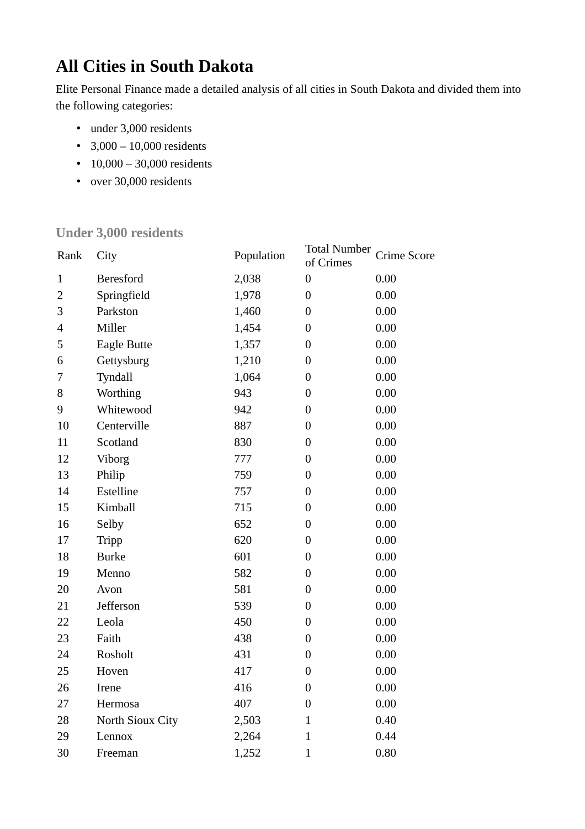# **All Cities in South Dakota**

Elite Personal Finance made a detailed analysis of all cities in South Dakota and divided them into the following categories:

- under 3,000 residents
- $3,000 10,000$  residents
- 10,000 30,000 residents
- over 30,000 residents

#### **Under 3,000 residents**

| Rank                     | City               | Population | <b>Total Number</b><br>of Crimes | Crime Score |
|--------------------------|--------------------|------------|----------------------------------|-------------|
| $\mathbf{1}$             | <b>Beresford</b>   | 2,038      | $\boldsymbol{0}$                 | 0.00        |
| $\overline{2}$           | Springfield        | 1,978      | $\boldsymbol{0}$                 | 0.00        |
| 3                        | Parkston           | 1,460      | $\boldsymbol{0}$                 | 0.00        |
| $\overline{\mathcal{L}}$ | Miller             | 1,454      | $\overline{0}$                   | 0.00        |
| 5                        | <b>Eagle Butte</b> | 1,357      | $\boldsymbol{0}$                 | 0.00        |
| 6                        | Gettysburg         | 1,210      | $\boldsymbol{0}$                 | 0.00        |
| 7                        | Tyndall            | 1,064      | $\boldsymbol{0}$                 | 0.00        |
| 8                        | Worthing           | 943        | $\mathbf{0}$                     | 0.00        |
| 9                        | Whitewood          | 942        | $\boldsymbol{0}$                 | 0.00        |
| 10                       | Centerville        | 887        | $\boldsymbol{0}$                 | 0.00        |
| 11                       | Scotland           | 830        | $\boldsymbol{0}$                 | 0.00        |
| 12                       | Viborg             | 777        | $\overline{0}$                   | 0.00        |
| 13                       | Philip             | 759        | $\boldsymbol{0}$                 | 0.00        |
| 14                       | Estelline          | 757        | $\boldsymbol{0}$                 | 0.00        |
| 15                       | Kimball            | 715        | $\boldsymbol{0}$                 | 0.00        |
| 16                       | Selby              | 652        | $\overline{0}$                   | 0.00        |
| 17                       | <b>Tripp</b>       | 620        | $\boldsymbol{0}$                 | 0.00        |
| 18                       | <b>Burke</b>       | 601        | $\boldsymbol{0}$                 | 0.00        |
| 19                       | Menno              | 582        | $\boldsymbol{0}$                 | 0.00        |
| 20                       | Avon               | 581        | $\overline{0}$                   | 0.00        |
| 21                       | Jefferson          | 539        | $\boldsymbol{0}$                 | 0.00        |
| 22                       | Leola              | 450        | $\boldsymbol{0}$                 | 0.00        |
| 23                       | Faith              | 438        | $\boldsymbol{0}$                 | 0.00        |
| 24                       | Rosholt            | 431        | $\overline{0}$                   | 0.00        |
| 25                       | Hoven              | 417        | $\boldsymbol{0}$                 | 0.00        |
| 26                       | Irene              | 416        | $\boldsymbol{0}$                 | 0.00        |
| 27                       | Hermosa            | 407        | $\boldsymbol{0}$                 | 0.00        |
| 28                       | North Sioux City   | 2,503      | $\mathbf{1}$                     | 0.40        |
| 29                       | Lennox             | 2,264      | $\mathbf{1}$                     | 0.44        |
| 30                       | Freeman            | 1,252      | $\mathbf{1}$                     | 0.80        |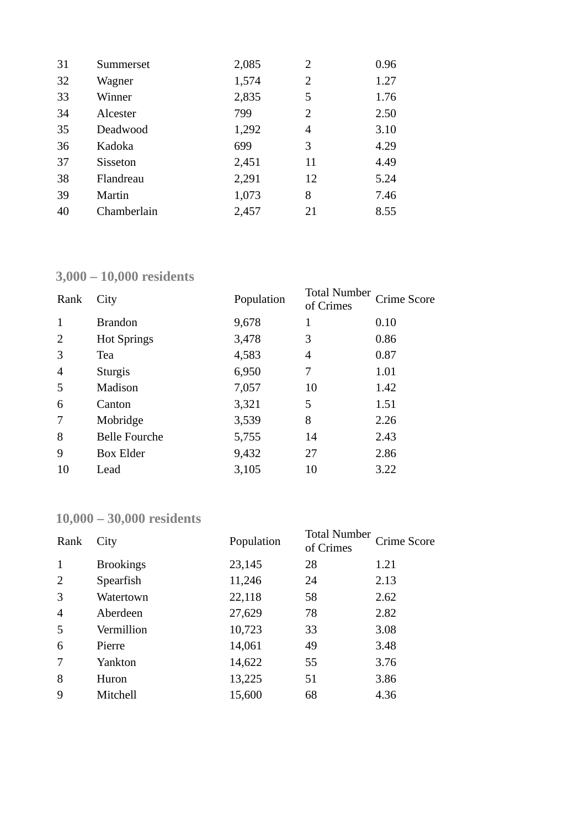| 31 | Summerset       | 2,085 | 2              | 0.96 |
|----|-----------------|-------|----------------|------|
| 32 | Wagner          | 1,574 | 2              | 1.27 |
| 33 | Winner          | 2,835 | 5              | 1.76 |
| 34 | Alcester        | 799   | $\overline{2}$ | 2.50 |
| 35 | Deadwood        | 1,292 | 4              | 3.10 |
| 36 | Kadoka          | 699   | 3              | 4.29 |
| 37 | <b>Sisseton</b> | 2,451 | 11             | 4.49 |
| 38 | Flandreau       | 2,291 | 12             | 5.24 |
| 39 | Martin          | 1,073 | 8              | 7.46 |
| 40 | Chamberlain     | 2,457 | 21             | 8.55 |

### **3,000 – 10,000 residents**

| Rank | City                 | Population | <b>Total Number</b><br>of Crimes | Crime Score |
|------|----------------------|------------|----------------------------------|-------------|
| 1    | <b>Brandon</b>       | 9,678      | 1                                | 0.10        |
| 2    | <b>Hot Springs</b>   | 3,478      | 3                                | 0.86        |
| 3    | Tea                  | 4,583      | 4                                | 0.87        |
| 4    | <b>Sturgis</b>       | 6,950      | 7                                | 1.01        |
| 5    | Madison              | 7,057      | 10                               | 1.42        |
| 6    | Canton               | 3,321      | 5                                | 1.51        |
| 7    | Mobridge             | 3,539      | 8                                | 2.26        |
| 8    | <b>Belle Fourche</b> | 5,755      | 14                               | 2.43        |
| 9    | <b>Box Elder</b>     | 9,432      | 27                               | 2.86        |
| 10   | Lead                 | 3,105      | 10                               | 3.22        |

# **10,000 – 30,000 residents**

| Rank           | City             | Population | <b>Total Number</b><br>of Crimes | Crime Score |
|----------------|------------------|------------|----------------------------------|-------------|
| 1              | <b>Brookings</b> | 23,145     | 28                               | 1.21        |
| 2              | Spearfish        | 11,246     | 24                               | 2.13        |
| 3              | Watertown        | 22,118     | 58                               | 2.62        |
| $\overline{4}$ | Aberdeen         | 27,629     | 78                               | 2.82        |
| 5              | Vermillion       | 10,723     | 33                               | 3.08        |
| 6              | Pierre           | 14,061     | 49                               | 3.48        |
| 7              | Yankton          | 14,622     | 55                               | 3.76        |
| 8              | Huron            | 13,225     | 51                               | 3.86        |
| 9              | Mitchell         | 15,600     | 68                               | 4.36        |